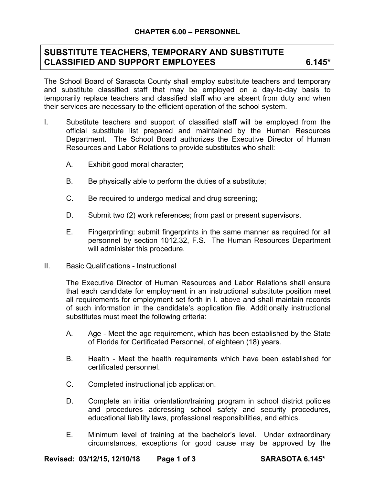## **SUBSTITUTE TEACHERS, TEMPORARY AND SUBSTITUTE**  CLASSIFIED AND SUPPORT EMPLOYEES 6.145\*

The School Board of Sarasota County shall employ substitute teachers and temporary and substitute classified staff that may be employed on a day-to-day basis to temporarily replace teachers and classified staff who are absent from duty and when their services are necessary to the efficient operation of the school system.

- I. Substitute teachers and support of classified staff will be employed from the official substitute list prepared and maintained by the Human Resources Department. The School Board authorizes the Executive Director of Human Resources and Labor Relations to provide substitutes who shall:
	- A. Exhibit good moral character;
	- B. Be physically able to perform the duties of a substitute;
	- C. Be required to undergo medical and drug screening;
	- D. Submit two (2) work references; from past or present supervisors.
	- E. Fingerprinting: submit fingerprints in the same manner as required for all personnel by section 1012.32, F.S. The Human Resources Department will administer this procedure.
- II. Basic Qualifications Instructional

The Executive Director of Human Resources and Labor Relations shall ensure that each candidate for employment in an instructional substitute position meet all requirements for employment set forth in I. above and shall maintain records of such information in the candidate's application file. Additionally instructional substitutes must meet the following criteria:

- A. Age Meet the age requirement, which has been established by the State of Florida for Certificated Personnel, of eighteen (18) years.
- B. Health Meet the health requirements which have been established for certificated personnel.
- C. Completed instructional job application.
- D. Complete an initial orientation/training program in school district policies and procedures addressing school safety and security procedures, educational liability laws, professional responsibilities, and ethics.
- E. Minimum level of training at the bachelor's level. Under extraordinary circumstances, exceptions for good cause may be approved by the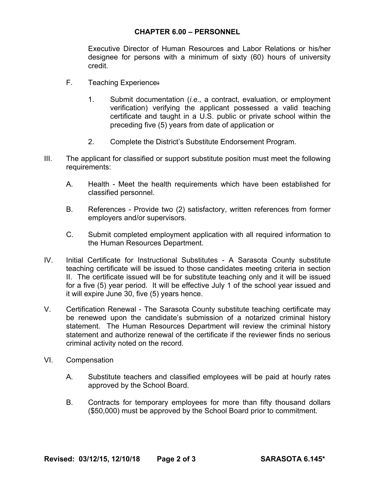## **CHAPTER 6.00 – PERSONNEL**

Executive Director of Human Resources and Labor Relations or his/her designee for persons with a minimum of sixty (60) hours of university credit.

- F. Teaching Experience.
	- 1. Submit documentation (*i.e.,* a contract, evaluation, or employment verification) verifying the applicant possessed a valid teaching certificate and taught in a U.S. public or private school within the preceding five (5) years from date of application or
	- 2. Complete the District's Substitute Endorsement Program.
- III. The applicant for classified or support substitute position must meet the following requirements:
	- A. Health Meet the health requirements which have been established for classified personnel.
	- B. References Provide two (2) satisfactory, written references from former employers and/or supervisors.
	- C. Submit completed employment application with all required information to the Human Resources Department.
- IV. Initial Certificate for Instructional Substitutes A Sarasota County substitute teaching certificate will be issued to those candidates meeting criteria in section II. The certificate issued will be for substitute teaching only and it will be issued for a five (5) year period. It will be effective July 1 of the school year issued and it will expire June 30, five (5) years hence.
- V. Certification Renewal The Sarasota County substitute teaching certificate may be renewed upon the candidate's submission of a notarized criminal history statement. The Human Resources Department will review the criminal history statement and authorize renewal of the certificate if the reviewer finds no serious criminal activity noted on the record.
- VI. Compensation
	- A. Substitute teachers and classified employees will be paid at hourly rates approved by the School Board.
	- B. Contracts for temporary employees for more than fifty thousand dollars (\$50,000) must be approved by the School Board prior to commitment.